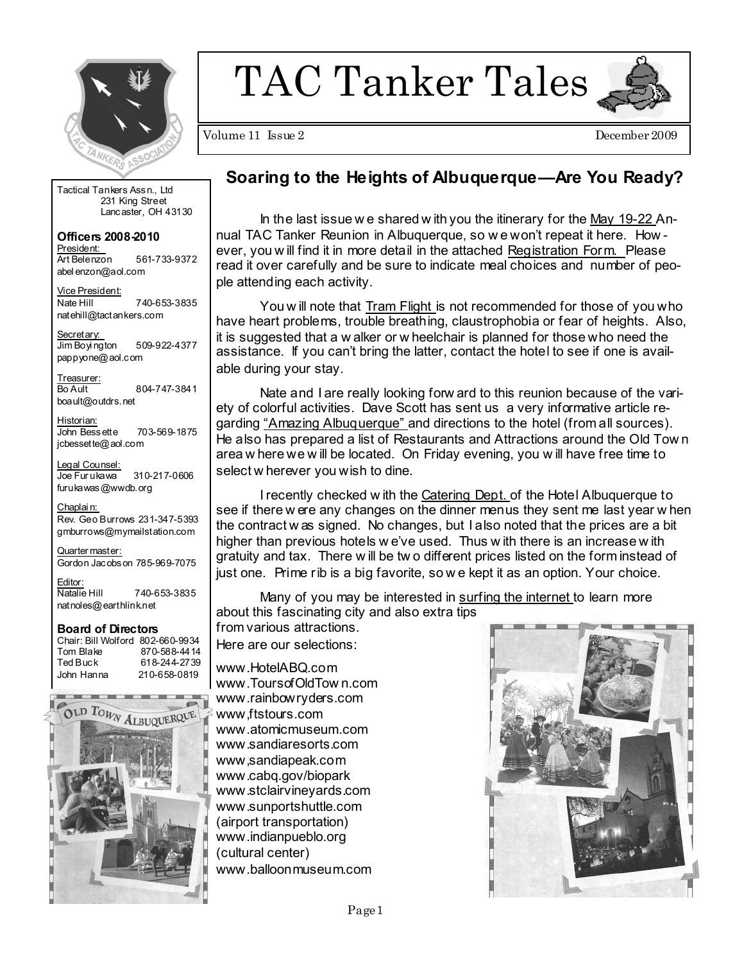

TAC Tanker Tales



Volume 11 Issue 2

December 2009

Tactical Tankers Assn., Ltd 231 King Street Lancaster, OH 43130

Officers 2008-2010 President: Art Belenzon 561-733-9372 abelenzon@aol.com

Vice President: 740-653-3835 Nate Hill natehill@tactankers.com

Secretary: Jim Boyington 509-922-4377 pappyone@aol.com

Treasurer: 804-747-3841 Bo Ault boault@outdrs.net

Historian: 703-569-1875 John Bessette jcbessette@aol.com

Legal Counsel: Joe Furukawa 310-217-0606 furukawas@wwdb.org

Chaplain: Rev. Geo Burrows 231-347-5393 gmburrows@mymailstation.com

Quarter master: Gordon Jacobs on 785-969-7075

Editor: Natalie Hill 740-653-3835 natnoles@earthlinknet

#### **Board of Directors**

Chair: Bill Wolford 802-660-9934 Tom Blake 870-588-4414 Ted Buck 618-244-2739 John Hanna 210-658-0819



## Soaring to the Heights of Albuquerque—Are You Ready?

In the last issue we shared with you the itinerary for the May 19-22 Annual TAC Tanker Reunion in Albuquerque, so we won't repeat it here. However, you will find it in more detail in the attached Registration Form. Please read it over carefully and be sure to indicate meal choices and number of people attending each activity.

You will note that Tram Flight is not recommended for those of you who have heart problems, trouble breathing, claustrophobia or fear of heights. Also, it is suggested that a w alker or w heelchair is planned for those who need the assistance. If you can't bring the latter, contact the hotel to see if one is available during your stay.

Nate and I are really looking forw ard to this reunion because of the variety of colorful activities. Dave Scott has sent us a very informative article regarding "Amazing Albuquerque" and directions to the hotel (from all sources). He also has prepared a list of Restaurants and Attractions around the Old Town area w here we w ill be located. On Friday evening, you w ill have free time to select w herever you wish to dine.

I recently checked with the Catering Dept. of the Hotel Albuquerque to see if there were any changes on the dinner menus they sent me last year when the contract w as signed. No changes, but I also noted that the prices are a bit higher than previous hotels we've used. Thus with there is an increase with gratuity and tax. There will be two different prices listed on the form instead of just one. Prime rib is a big favorite, so we kept it as an option. Your choice.

Many of you may be interested in surfing the internet to learn more about this fascinating city and also extra tips

from various attractions.

Here are our selections:

www.HotelABQ.com www.ToursofOldTown.com www.rainbowryders.com www.ftstours.com www.atomicmuseum.com www.sandiaresorts.com www,sandiapeak.com www.cabq.gov/biopark www.stclairvinevards.com www.sunportshuttle.com (airport transportation) www.indianpueblo.org (cultural center) www.balloonmuseum.com

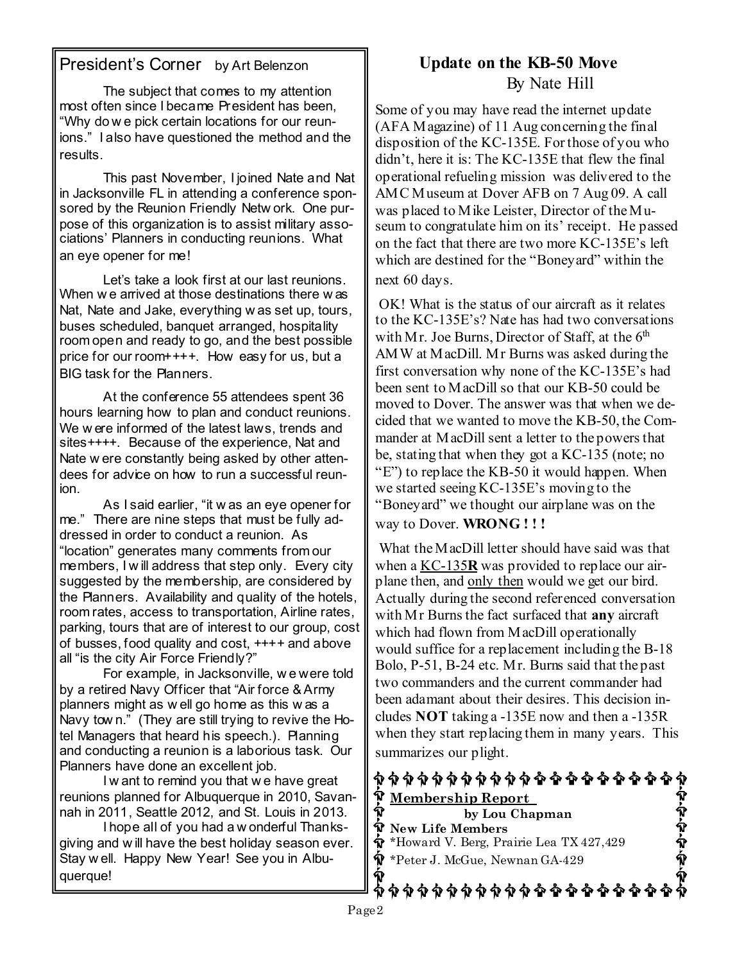## President's Corner by Art Belenzon

The subject that comes to my attention most often since I became President has been. "Why do we pick certain locations for our reunions." I also have questioned the method and the results.

This past November, I joined Nate and Nat in Jacksonville FL in attending a conference sponsored by the Reunion Friendly Network. One purpose of this organization is to assist military associations' Planners in conducting reunions. What an eve opener for me!

Let's take a look first at our last reunions. When we arrived at those destinations there was Nat, Nate and Jake, everything was set up, tours, buses scheduled, banquet arranged, hospitality room open and ready to go, and the best possible price for our room++++. How easy for us, but a BIG task for the Planners.

At the conference 55 attendees spent 36 hours learning how to plan and conduct reunions. We were informed of the latest laws, trends and sites++++. Because of the experience, Nat and Nate w ere constantly being asked by other attendees for advice on how to run a successful reunion

As I said earlier, "it was an eye opener for me." There are nine steps that must be fully addressed in order to conduct a reunion. As "location" generates many comments from our members, I will address that step only. Every city suggested by the membership, are considered by the Planners. Availability and quality of the hotels. room rates, access to transportation, Airline rates, parking, tours that are of interest to our group, cost of busses, food quality and cost, ++++ and above all "is the city Air Force Friendly?"

For example, in Jacksonville, we were told by a retired Navy Officer that "Air force & Army planners might as well go home as this was a Navy town." (They are still trying to revive the Hotel Managers that heard his speech.). Planning and conducting a reunion is a laborious task. Our Planners have done an excellent job.

I w ant to remind you that we have great reunions planned for Albuquerque in 2010, Savannah in 2011, Seattle 2012, and St. Louis in 2013.

I hope all of you had a w onderful Thanksgiving and will have the best holiday season ever. Stay well. Happy New Year! See you in Albuquerque!

## Update on the KB-50 Move By Nate Hill

Some of you may have read the internet update (AFA Magazine) of 11 Aug concerning the final disposition of the KC-135E. For those of you who didn't, here it is: The KC-135E that flew the final operational refueling mission was delivered to the AMC Museum at Dover AFB on 7 Aug 09. A call was placed to Mike Leister, Director of the Museum to congratulate him on its' receipt. He passed on the fact that there are two more KC-135E's left which are destined for the "Boneyard" within the next 60 days.

OK! What is the status of our aircraft as it relates to the KC-135E's? Nate has had two conversations with Mr. Joe Burns, Director of Staff, at the 6th AMW at MacDill. Mr Burns was asked during the first conversation why none of the KC-135E's had been sent to MacDill so that our KB-50 could be moved to Dover. The answer was that when we decided that we wanted to move the KB-50, the Commander at MacDill sent a letter to the powers that be, stating that when they got a KC-135 (note; no "E") to replace the KB-50 it would happen. When we started seeing KC-135E's moving to the "Boneyard" we thought our airplane was on the way to Dover. WRONG!!!

What the MacDill letter should have said was that when a KC-135R was provided to replace our airplane then, and only then would we get our bird. Actually during the second referenced conversation with Mr Burns the fact surfaced that any aircraft which had flown from MacDill operationally would suffice for a replacement including the B-18 Bolo, P-51, B-24 etc. Mr. Burns said that the past two commanders and the current commander had been adamant about their desires. This decision includes NOT taking a  $-135E$  now and then a  $-135R$ when they start replacing them in many years. This summarizes our plight.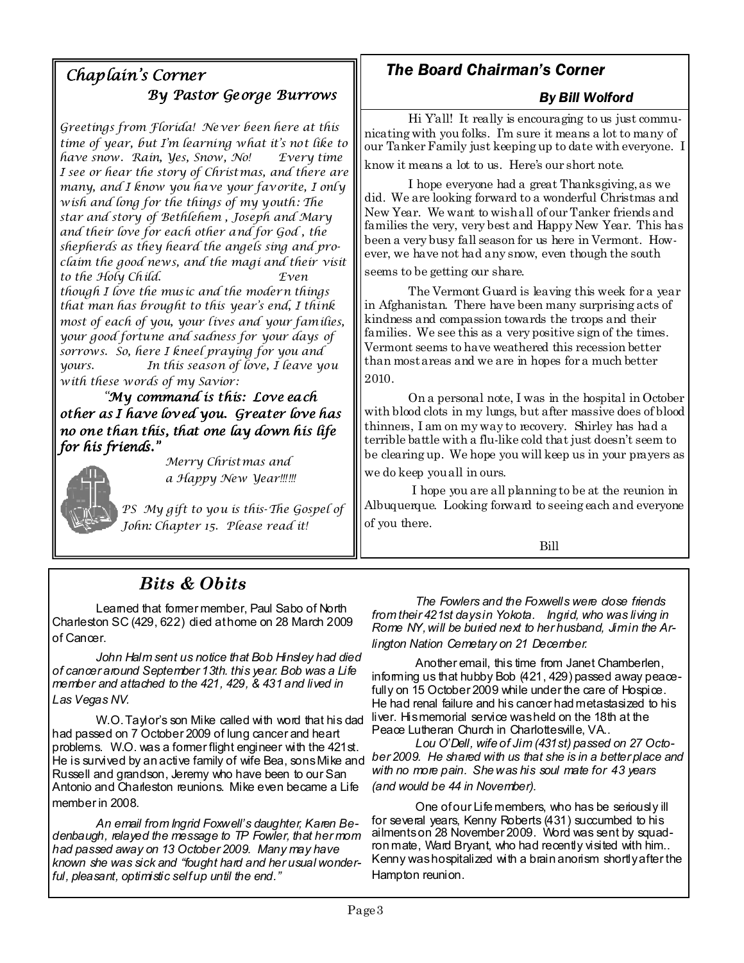## Chaplain's Corner By Pastor George Burrows

Greetings from Florida! Never been here at this time of year, but I'm learning what it's not like to have snow. Rain, Ves, Snow, No! Every time I see or hear the story of Christmas, and there are many, and I know you have your favorite, I only wish and long for the things of my youth: The star and story of Bethlehem, Joseph and Mary and their love for each other and for God, the shepherds as they heard the angels sing and proclaim the good news, and the magi and their visit to the Holy Child.  $Fven$ though I love the music and the modern things that man has brought to this year's end, I think most of each of you, your lives and your families, your good fortune and sadness for your days of sorrows. So, here I kneel praying for you and In this season of love, I leave you yours. with these words of my Savior:

"My command is this: Love each other as I have loved you. Greater love has no one than this, that one lay down his life for his friends."



Merry Christmas and a Happy New Year!!!!!!

PS My gift to you is this-The Gospel of John: Chapter 15. Please read it!

# **The Board Chairman's Corner**

### **By Bill Wolford**

Hi Y'all! It really is encouraging to us just communicating with you folks. I'm sure it means a lot to many of our Tanker Family just keeping up to date with everyone. I know it means a lot to us. Here's our short note.

I hope everyone had a great Thanksgiving, as we did. We are looking forward to a wonderful Christmas and New Year. We want to wish all of our Tanker friends and families the very, very best and Happy New Year. This has been a very busy fall season for us here in Vermont. However, we have not had any snow, even though the south

seems to be getting our share.

The Vermont Guard is leaving this week for a year in Afghanistan. There have been many surprising acts of kindness and compassion towards the troops and their families. We see this as a very positive sign of the times. Vermont seems to have weathered this recession better than most areas and we are in hopes for a much better 2010.

On a personal note, I was in the hospital in October with blood clots in my lungs, but after massive does of blood thinners, I am on my way to recovery. Shirley has had a terrible battle with a flu-like cold that just doesn't seem to be clearing up. We hope you will keep us in your prayers as we do keep you all in ours.

I hope you are all planning to be at the reunion in Albuquerque. Looking forward to seeing each and everyone of you there.

Bill

# **Bits & Obits**

Leamed that former member, Paul Sabo of North Charleston SC (429, 622) died athome on 28 March 2009 of Cancer.

John Halm sent us notice that Bob Hinsley had died of cancer around September 13th, this year. Bob was a Life member and attached to the 421, 429, & 431 and lived in Las Vegas NV.

W.O. Taylor's son Mike called with word that his dad had passed on 7 October 2009 of lung cancer and heart problems. W.O. was a former flight engineer with the 421st. He is survived by an active family of wife Bea, sons Mike and ber 2009. He shared with us that she is in a better place and Russell and grandson, Jeremy who have been to our San Antonio and Charleston reunions. Mike even became a Life member in 2008.

An email from Ingrid Foxwell's daughter, Karen Bedenbaugh, relayed the message to TP Fowler, that her mom had passed away on 13 October 2009. Many may have known she was sick and "fought hard and her usual wonderful, pleasant, optimistic selfup until the end."

The Fowlers and the Foxwells were dose friends from their 421st daysin Yokota. Ingrid, who was living in Rome NY, will be buried next to her husband, Jimin the Arlington Nation Cemetary on 21 December.

Another email, this time from Janet Chamberlen, informing us that hubby Bob (421, 429) passed away peacefully on 15 October 2009 while under the care of Hospice. He had renal failure and his cancer had metastasized to his liver. Hismemorial service washeld on the 18th at the Peace Lutheran Church in Charlottesville, VA..

Lou O'Dell, wife of Jim (431st) passed on 27 Octowith no more pain. She was his soul mate for 43 years (and would be 44 in November).

One of our Life members, who has be seriously ill for several years, Kenny Roberts (431) succumbed to his ailments on 28 November 2009. Word was sent by squadron mate, Ward Bryant, who had recently visited with him.. Kenny was hospitalized with a brain anorism shortly after the Hampton reunion.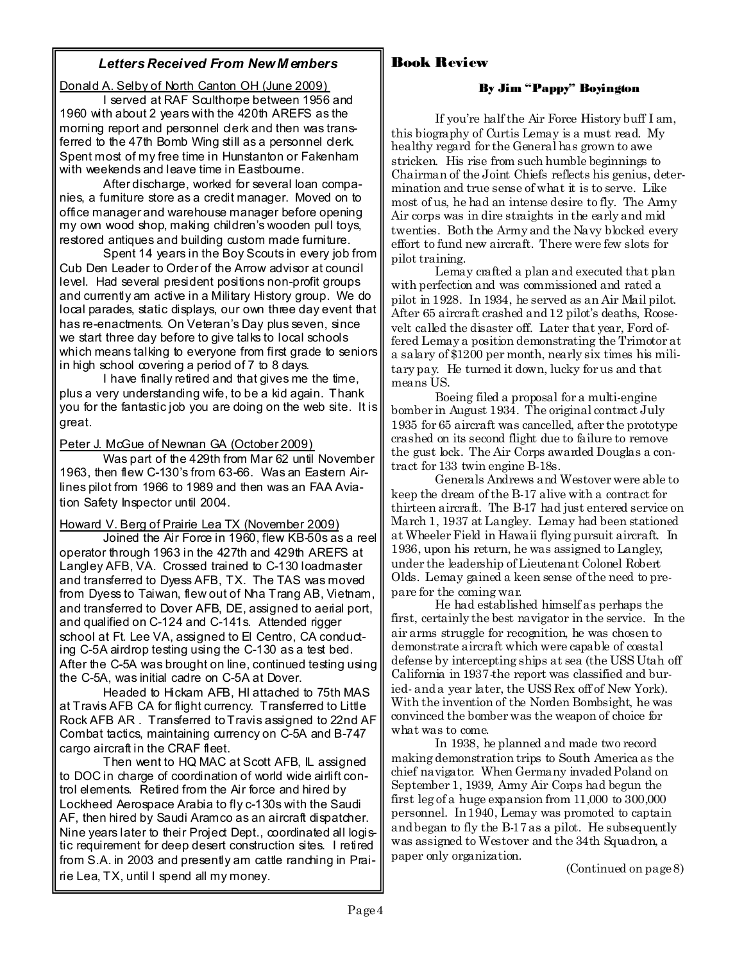#### **Letters Received From New Members**

Donald A. Selby of North Canton OH (June 2009)

I served at RAF Sculthorpe between 1956 and 1960 with about 2 years with the 420th AREFS as the morning report and personnel derk and then was transferred to the 47th Bomb Wing still as a personnel derk. Spent most of my free time in Hunstanton or Fakenham with weekends and leave time in Eastbourne.

After discharge, worked for several loan companies, a fumiture store as a credit manager. Moved on to office manager and warehouse manager before opening my own wood shop, making children's wooden pull toys, restored antiques and building custom made furniture.

Spent 14 years in the Boy Scouts in every job from Cub Den Leader to Order of the Arrow advisor at council level. Had several president positions non-profit groups and currently am active in a Military History group. We do local parades, static displays, our own three day event that has re-enactments. On Veteran's Day plus seven, since we start three day before to give talks to local schools which means talking to everyone from first grade to seniors in high school covering a period of 7 to 8 days.

I have finally retired and that gives me the time, plus a very understanding wife, to be a kid again. Thank you for the fantastic job you are doing on the web site. It is great.

Peter J. McGue of Newnan GA (October 2009)

Was part of the 429th from Mar 62 until November 1963, then flew C-130's from 63-66. Was an Eastern Airlines pilot from 1966 to 1989 and then was an FAA Aviation Safety Inspector until 2004.

Howard V. Berg of Prairie Lea TX (November 2009)

Joined the Air Force in 1960, flew KB-50s as a reel operator through 1963 in the 427th and 429th AREFS at Langley AFB, VA. Crossed trained to C-130 loadmaster and transferred to Dyess AFB, TX. The TAS was moved from Dyess to Taiwan, flew out of Nha Trang AB, Vietnam, and transferred to Dover AFB, DE, assigned to aerial port, and qualified on C-124 and C-141s. Attended rigger school at Ft. Lee VA, assigned to El Centro, CA conducting C-5A airdrop testing using the C-130 as a test bed. After the C-5A was brought on line, continued testing using the C-5A, was initial cadre on C-5A at Dover.

Headed to Hickam AFB. HI attached to 75th MAS at Travis AFB CA for flight currency. Transferred to Little Rock AFB AR. Transferred to Travis assigned to 22nd AF Combat tactics, maintaining currency on C-5A and B-747 cargo aircraft in the CRAF fleet.

Then went to HQ MAC at Scott AFB, IL assigned to DOC in charge of coordination of world wide airlift control elements. Retired from the Air force and hired by Lockheed Aerospace Arabia to fly c-130s with the Saudi AF, then hired by Saudi Aramco as an aircraft dispatcher. Nine years later to their Project Dept., coordinated all logistic requirement for deep desert construction sites. I retired from S.A. in 2003 and presently am cattle ranching in Prairie Lea, TX, until I spend all my money.

### **Rook Review**

#### By Jim "Pappy" Boyington

If you're half the Air Force History buff I am, this biography of Curtis Lemay is a must read. My healthy regard for the General has grown to awe stricken. His rise from such humble beginnings to Chairman of the Joint Chiefs reflects his genius, determination and true sense of what it is to serve. Like most of us, he had an intense desire to fly. The Army Air corps was in dire straights in the early and mid twenties. Both the Army and the Navy blocked every effort to fund new aircraft. There were few slots for pilot training.

Lemay crafted a plan and executed that plan with perfection and was commissioned and rated a pilot in 1928. In 1934, he served as an Air Mail pilot. After 65 aircraft crashed and 12 pilot's deaths, Roosevelt called the disaster off. Later that year, Ford offered Lemay a position demonstrating the Trimotor at a salary of \$1200 per month, nearly six times his military pay. He turned it down, lucky for us and that means US.

Boeing filed a proposal for a multi-engine bomber in August 1934. The original contract July 1935 for 65 aircraft was cancelled, after the prototype crashed on its second flight due to failure to remove the gust lock. The Air Corps awarded Douglas a contract for 133 twin engine B-18s.

Generals Andrews and Westover were able to keep the dream of the B-17 alive with a contract for thirteen aircraft. The B-17 had just entered service on March 1, 1937 at Langley. Lemay had been stationed at Wheeler Field in Hawaii flying pursuit aircraft. In 1936, upon his return, he was assigned to Langley, under the leadership of Lieutenant Colonel Robert Olds. Lemay gained a keen sense of the need to prepare for the coming war.

He had established himself as perhaps the first, certainly the best navigator in the service. In the air arms struggle for recognition, he was chosen to demonstrate aircraft which were capable of coastal defense by intercepting ships at sea (the USS Utah off California in 1937 the report was classified and buried- and a year later, the USS Rex off of New York). With the invention of the Norden Bombsight, he was convinced the bomber was the weapon of choice for what was to come.

In 1938, he planned and made two record making demonstration trips to South America as the chief navigator. When Germany invaded Poland on September 1, 1939, Army Air Corps had begun the first leg of a huge expansion from  $11,000$  to  $300,000$ personnel. In 1940, Lemay was promoted to captain and began to fly the B-17 as a pilot. He subsequently was assigned to Westover and the 34th Squadron, a paper only organization.

 $(Continued on page 8)$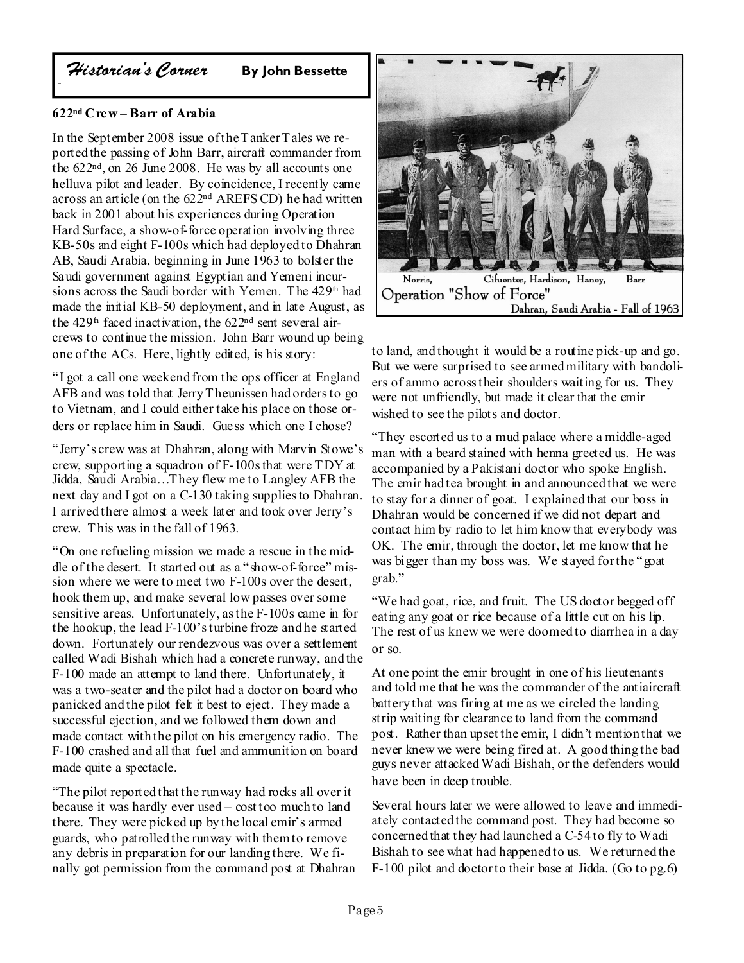Historian's Corner

**By John Bessette** 

### $622<sup>nd</sup> C$ rew – Barr of Arabia

In the September 2008 issue of the T anker T ales we reported the passing of John Barr, aircraft commander from the  $622<sup>nd</sup>$ , on 26 June 2008. He was by all accounts one helluva pilot and leader. By coincidence, I recently came across an article (on the 622<sup>nd</sup> AREFS CD) he had written back in 2001 about his experiences during Operation Hard Surface, a show-of-force operation involving three KB-50s and eight F-100s which had deployed to Dhahran AB, Saudi Arabia, beginning in June 1963 to bolster the Saudi government against Egyptian and Yemeni incursions across the Saudi border with Yemen. The 429<sup>th</sup> had made the initial KB-50 deployment, and in late August, as the 429<sup>th</sup> faced inactivation, the 622<sup>nd</sup> sent several aircrews to continue the mission. John Barr wound up being one of the ACs. Here, lightly edited, is his story:

"I got a call one weekend from the ops officer at England AFB and was told that Jerry Theunissen had orders to go to Vietnam, and I could either take his place on those orders or replace him in Saudi. Guess which one I chose?

"Jerry's crew was at Dhahran, along with Maryin Stowe's crew, supporting a squadron of F-100s that were TDY at Jidda, Saudi Arabia...They flew me to Langley AFB the next day and I got on a C-130 taking supplies to Dhahran I arrived there almost a week later and took over Jerry's crew. This was in the fall of 1963.

"On one refueling mission we made a rescue in the middle of the desert. It started out as a "show-of-force" mission where we were to meet two F-100s over the desert, hook them up, and make several low passes over some sensitive areas. Unfortunately, as the F-100s came in for the hookup, the lead F-100's turbine froze and he started down. Fortunately our rendezvous was over a settlement called Wadi Bishah which had a concrete runway, and the F-100 made an attempt to land there. Unfortunately, it was a two-seater and the pilot had a doctor on board who panicked and the pilot felt it best to eject. They made a successful ejection, and we followed them down and made contact with the pilot on his emergency radio. The F-100 crashed and all that fuel and ammunition on board made quite a spectacle.

"The pilot reported that the runway had rocks all over it because it was hardly ever used - cost too much to land there. They were picked up by the local emir's armed guards, who patrolled the runway with them to remove any debris in preparation for our landing there. We finally got permission from the command post at Dhahran



to land, and thought it would be a routine pick-up and go. But we were surprised to see armed military with bandoliers of ammo across their shoulders waiting for us. They were not unfriendly, but made it clear that the emir wished to see the pilots and doctor.

"They escorted us to a mud palace where a middle-aged man with a beard stained with henna greeted us. He was accompanied by a Pakistani doctor who spoke English. The emir had tea brought in and announced that we were to stay for a dinner of goat. I explained that our boss in Dhahran would be concerned if we did not depart and contact him by radio to let him know that everybody was OK. The emir, through the doctor, let me know that he was bigger than my boss was. We stayed for the "goat" grab."

"We had goat, rice, and fruit. The US doctor begged off eating any goat or rice because of a little cut on his lip. The rest of us knew we were doomed to diarrhea in a day or so.

At one point the emir brought in one of his lieutenants and told me that he was the commander of the antiaircraft battery that was firing at me as we circled the landing strip waiting for clearance to land from the command post. Rather than upset the emir, I didn't mention that we never knew we were being fired at. A good thing the bad guys never attacked Wadi Bishah, or the defenders would have been in deep trouble.

Several hours later we were allowed to leave and immediately contacted the command post. They had become so concerned that they had launched a C-54 to fly to Wadi Bishah to see what had happened to us. We returned the  $F-100$  pilot and doctor to their base at Jidda. (Go to pg.6)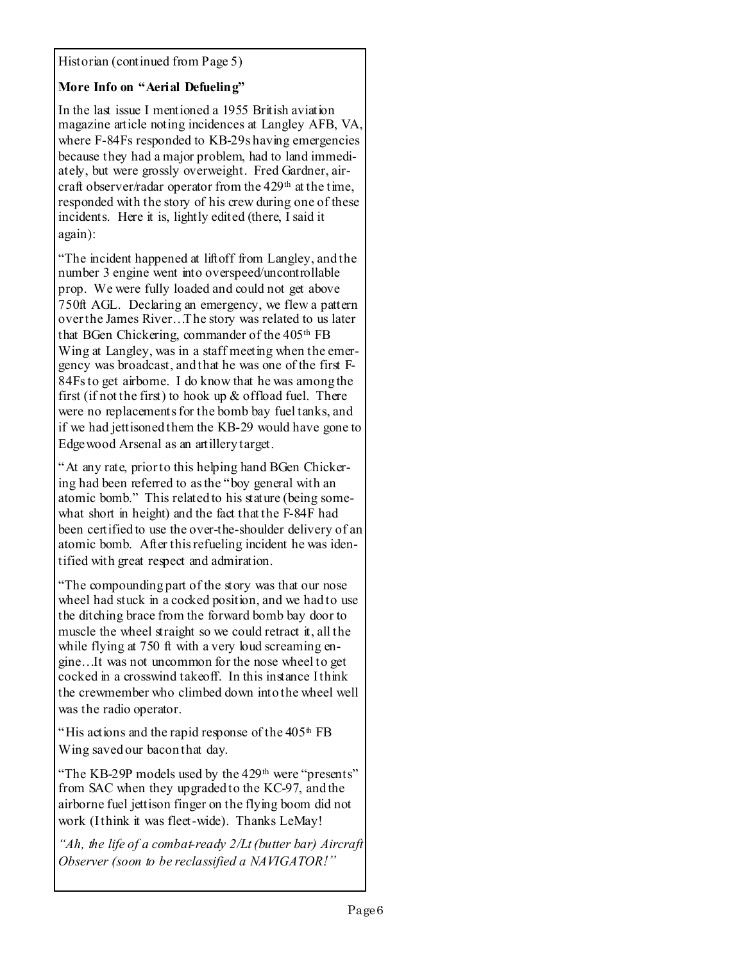Historian (continued from Page 5)

### More Info on "Aerial Defueling"

In the last issue I mentioned a 1955 British aviation magazine article noting incidences at Langley AFB, VA, where F-84Fs responded to KB-29s having emergencies because they had a major problem, had to land immediately, but were grossly overweight. Fred Gardner, aircraft observer/radar operator from the 429<sup>th</sup> at the time. responded with the story of his crew during one of these incidents. Here it is, lightly edited (there, I said it  $again):$ 

"The incident happened at lift off from Langley, and the number 3 engine went into overspeed/uncontrollable prop. We were fully loaded and could not get above 750ft AGL. Declaring an emergency, we flew a pattern over the James River...The story was related to us later that BGen Chickering, commander of the 405<sup>th</sup> FB Wing at Langley, was in a staff meeting when the emergency was broadcast, and that he was one of the first F-84Fs to get airborne. I do know that he was among the first (if not the first) to hook up  $\&$  offload fuel. There were no replacements for the bomb bay fuel tanks, and if we had jettisoned them the KB-29 would have gone to Edge wood Arsenal as an artillery target.

"At any rate, prior to this helping hand BGen Chickering had been referred to as the "boy general with an atomic bomb." This related to his stature (being somewhat short in height) and the fact that the F-84F had been certified to use the over-the-shoulder delivery of an atomic bomb. After this refueling incident he was identified with great respect and admiration.

"The compounding part of the story was that our nose" wheel had stuck in a cocked position, and we had to use the ditching brace from the forward bomb bay door to muscle the wheel straight so we could retract it, all the while flying at 750 ft with a very loud screaming engine...It was not uncommon for the nose wheel to get cocked in a crosswind takeoff. In this instance Ithink the crewmember who climbed down into the wheel well was the radio operator.

"His actions and the rapid response of the 405<sup>th</sup> FB Wing saved our bacon that day.

"The KB-29P models used by the 429<sup>th</sup> were "presents" from SAC when they upgraded to the KC-97, and the airborne fuel jettison finger on the flying boom did not work (Ithink it was fleet-wide). Thanks LeMay!

"Ah, the life of a combat-ready 2/Lt (butter bar) Aircraft Observer (soon to be reclassified a NAVIGATOR!"